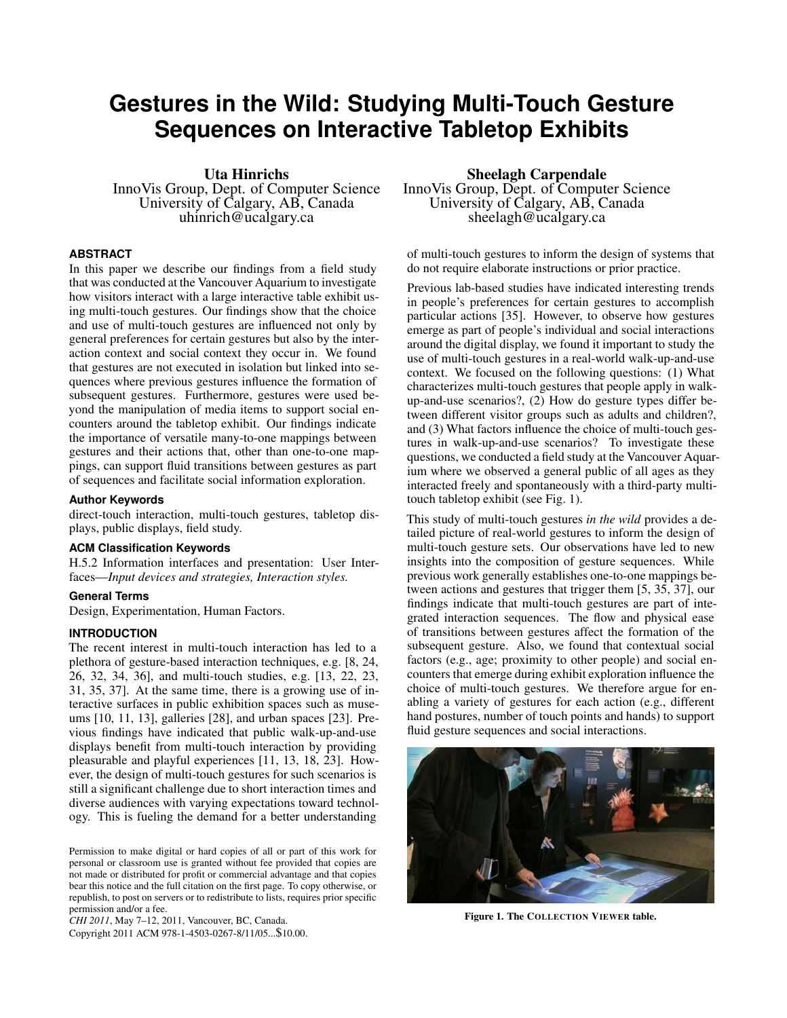# **Gestures in the Wild: Studying Multi-Touch Gesture Sequences on Interactive Tabletop Exhibits**

Uta Hinrichs InnoVis Group, Dept. of Computer Science University of Calgary, AB, Canada uhinrich@ucalgary.ca

# **ABSTRACT**

In this paper we describe our findings from a field study that was conducted at the Vancouver Aquarium to investigate how visitors interact with a large interactive table exhibit using multi-touch gestures. Our findings show that the choice and use of multi-touch gestures are influenced not only by general preferences for certain gestures but also by the interaction context and social context they occur in. We found that gestures are not executed in isolation but linked into sequences where previous gestures influence the formation of subsequent gestures. Furthermore, gestures were used beyond the manipulation of media items to support social encounters around the tabletop exhibit. Our findings indicate the importance of versatile many-to-one mappings between gestures and their actions that, other than one-to-one mappings, can support fluid transitions between gestures as part of sequences and facilitate social information exploration.

## **Author Keywords**

direct-touch interaction, multi-touch gestures, tabletop displays, public displays, field study.

# **ACM Classification Keywords**

H.5.2 Information interfaces and presentation: User Interfaces—*Input devices and strategies, Interaction styles.*

#### **General Terms**

Design, Experimentation, Human Factors.

#### **INTRODUCTION**

The recent interest in multi-touch interaction has led to a plethora of gesture-based interaction techniques, e.g. [\[8,](#page-9-0) [24,](#page-9-1) [26,](#page-9-2) [32,](#page-9-3) [34,](#page-9-4) [36\]](#page-9-5), and multi-touch studies, e.g. [\[13,](#page-9-6) [22,](#page-9-7) [23,](#page-9-8) [31,](#page-9-9) [35,](#page-9-10) [37\]](#page-9-11). At the same time, there is a growing use of interactive surfaces in public exhibition spaces such as museums [\[10,](#page-9-12) [11,](#page-9-13) [13\]](#page-9-6), galleries [\[28\]](#page-9-14), and urban spaces [\[23\]](#page-9-8). Previous findings have indicated that public walk-up-and-use displays benefit from multi-touch interaction by providing pleasurable and playful experiences [\[11,](#page-9-13) [13,](#page-9-6) [18,](#page-9-15) [23\]](#page-9-8). However, the design of multi-touch gestures for such scenarios is still a significant challenge due to short interaction times and diverse audiences with varying expectations toward technology. This is fueling the demand for a better understanding

Permission to make digital or hard copies of all or part of this work for personal or classroom use is granted without fee provided that copies are not made or distributed for profit or commercial advantage and that copies bear this notice and the full citation on the first page. To copy otherwise, or republish, to post on servers or to redistribute to lists, requires prior specific permission and/or a fee.

*CHI 2011*, May 7–12, 2011, Vancouver, BC, Canada.

Copyright 2011 ACM 978-1-4503-0267-8/11/05...\$10.00.

Sheelagh Carpendale InnoVis Group, Dept. of Computer Science

University of Calgary, AB, Canada sheelagh@ucalgary.ca

of multi-touch gestures to inform the design of systems that do not require elaborate instructions or prior practice.

Previous lab-based studies have indicated interesting trends in people's preferences for certain gestures to accomplish particular actions [\[35\]](#page-9-10). However, to observe how gestures emerge as part of people's individual and social interactions around the digital display, we found it important to study the use of multi-touch gestures in a real-world walk-up-and-use context. We focused on the following questions: (1) What characterizes multi-touch gestures that people apply in walkup-and-use scenarios?, (2) How do gesture types differ between different visitor groups such as adults and children?, and (3) What factors influence the choice of multi-touch gestures in walk-up-and-use scenarios? To investigate these questions, we conducted a field study at the Vancouver Aquarium where we observed a general public of all ages as they interacted freely and spontaneously with a third-party multitouch tabletop exhibit (see Fig. 1).

This study of multi-touch gestures *in the wild* provides a detailed picture of real-world gestures to inform the design of multi-touch gesture sets. Our observations have led to new insights into the composition of gesture sequences. While previous work generally establishes one-to-one mappings between actions and gestures that trigger them [\[5,](#page-9-16) [35,](#page-9-10) [37\]](#page-9-11), our findings indicate that multi-touch gestures are part of integrated interaction sequences. The flow and physical ease of transitions between gestures affect the formation of the subsequent gesture. Also, we found that contextual social factors (e.g., age; proximity to other people) and social encounters that emerge during exhibit exploration influence the choice of multi-touch gestures. We therefore argue for enabling a variety of gestures for each action (e.g., different hand postures, number of touch points and hands) to support fluid gesture sequences and social interactions.



Figure 1. The COLLECTION VIEWER table.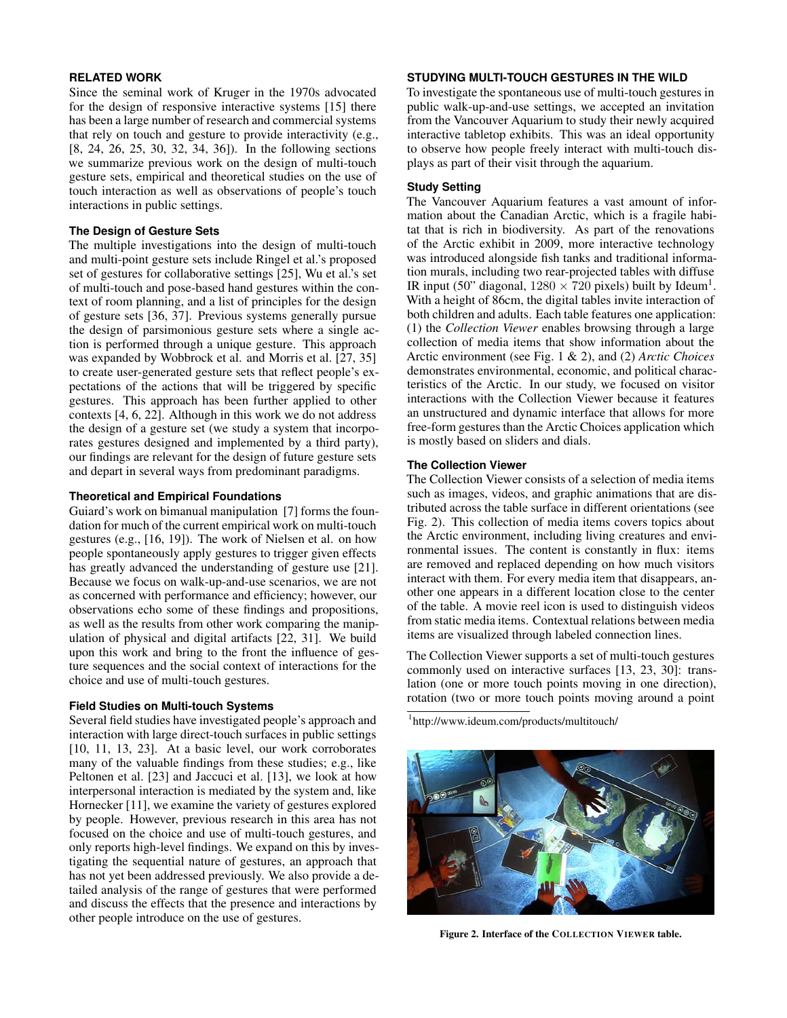# **RELATED WORK**

Since the seminal work of Kruger in the 1970s advocated for the design of responsive interactive systems [\[15\]](#page-9-17) there has been a large number of research and commercial systems that rely on touch and gesture to provide interactivity (e.g., [\[8,](#page-9-0) [24,](#page-9-1) [26,](#page-9-2) [25,](#page-9-18) [30,](#page-9-19) [32,](#page-9-3) [34,](#page-9-4) [36\]](#page-9-5)). In the following sections we summarize previous work on the design of multi-touch gesture sets, empirical and theoretical studies on the use of touch interaction as well as observations of people's touch interactions in public settings.

# **The Design of Gesture Sets**

The multiple investigations into the design of multi-touch and multi-point gesture sets include Ringel et al.'s proposed set of gestures for collaborative settings [\[25\]](#page-9-18), Wu et al.'s set of multi-touch and pose-based hand gestures within the context of room planning, and a list of principles for the design of gesture sets [\[36,](#page-9-5) [37\]](#page-9-11). Previous systems generally pursue the design of parsimonious gesture sets where a single action is performed through a unique gesture. This approach was expanded by Wobbrock et al. and Morris et al. [\[27,](#page-9-20) [35\]](#page-9-10) to create user-generated gesture sets that reflect people's expectations of the actions that will be triggered by specific gestures. This approach has been further applied to other contexts [\[4,](#page-9-21) [6,](#page-9-22) [22\]](#page-9-7). Although in this work we do not address the design of a gesture set (we study a system that incorporates gestures designed and implemented by a third party), our findings are relevant for the design of future gesture sets and depart in several ways from predominant paradigms.

### **Theoretical and Empirical Foundations**

Guiard's work on bimanual manipulation [\[7\]](#page-9-23) forms the foundation for much of the current empirical work on multi-touch gestures (e.g., [\[16,](#page-9-24) [19\]](#page-9-25)). The work of Nielsen et al. on how people spontaneously apply gestures to trigger given effects has greatly advanced the understanding of gesture use [\[21\]](#page-9-26). Because we focus on walk-up-and-use scenarios, we are not as concerned with performance and efficiency; however, our observations echo some of these findings and propositions, as well as the results from other work comparing the manipulation of physical and digital artifacts [\[22,](#page-9-7) [31\]](#page-9-9). We build upon this work and bring to the front the influence of gesture sequences and the social context of interactions for the choice and use of multi-touch gestures.

### **Field Studies on Multi-touch Systems**

Several field studies have investigated people's approach and interaction with large direct-touch surfaces in public settings [\[10,](#page-9-12) [11,](#page-9-13) [13,](#page-9-6) [23\]](#page-9-8). At a basic level, our work corroborates many of the valuable findings from these studies; e.g., like Peltonen et al. [\[23\]](#page-9-8) and Jaccuci et al. [\[13\]](#page-9-6), we look at how interpersonal interaction is mediated by the system and, like Hornecker [\[11\]](#page-9-13), we examine the variety of gestures explored by people. However, previous research in this area has not focused on the choice and use of multi-touch gestures, and only reports high-level findings. We expand on this by investigating the sequential nature of gestures, an approach that has not yet been addressed previously. We also provide a detailed analysis of the range of gestures that were performed and discuss the effects that the presence and interactions by other people introduce on the use of gestures.

# **STUDYING MULTI-TOUCH GESTURES IN THE WILD**

To investigate the spontaneous use of multi-touch gestures in public walk-up-and-use settings, we accepted an invitation from the Vancouver Aquarium to study their newly acquired interactive tabletop exhibits. This was an ideal opportunity to observe how people freely interact with multi-touch displays as part of their visit through the aquarium.

### **Study Setting**

The Vancouver Aquarium features a vast amount of information about the Canadian Arctic, which is a fragile habitat that is rich in biodiversity. As part of the renovations of the Arctic exhibit in 2009, more interactive technology was introduced alongside fish tanks and traditional information murals, including two rear-projected tables with diffuse IR input (50" diagonal,  $1280 \times 720$  pixels) built by Ideum<sup>1</sup>. With a height of 86cm, the digital tables invite interaction of both children and adults. Each table features one application: (1) the *Collection Viewer* enables browsing through a large collection of media items that show information about the Arctic environment (see Fig. 1 & 2), and (2) *Arctic Choices* demonstrates environmental, economic, and political characteristics of the Arctic. In our study, we focused on visitor interactions with the Collection Viewer because it features an unstructured and dynamic interface that allows for more free-form gestures than the Arctic Choices application which is mostly based on sliders and dials.

# **The Collection Viewer**

The Collection Viewer consists of a selection of media items such as images, videos, and graphic animations that are distributed across the table surface in different orientations (see Fig. 2). This collection of media items covers topics about the Arctic environment, including living creatures and environmental issues. The content is constantly in flux: items are removed and replaced depending on how much visitors interact with them. For every media item that disappears, another one appears in a different location close to the center of the table. A movie reel icon is used to distinguish videos from static media items. Contextual relations between media items are visualized through labeled connection lines.

The Collection Viewer supports a set of multi-touch gestures commonly used on interactive surfaces [\[13,](#page-9-6) [23,](#page-9-8) [30\]](#page-9-19): translation (one or more touch points moving in one direction), rotation (two or more touch points moving around a point

1 http://www.ideum.com/products/multitouch/



Figure 2. Interface of the COLLECTION VIEWER table.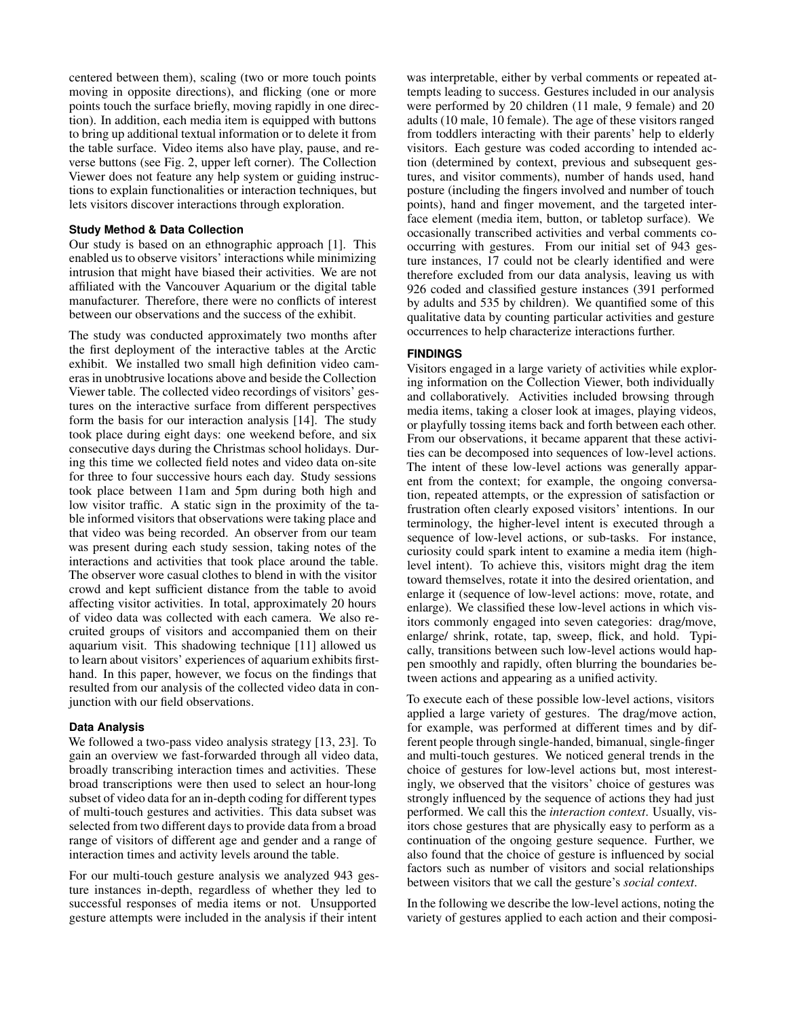centered between them), scaling (two or more touch points moving in opposite directions), and flicking (one or more points touch the surface briefly, moving rapidly in one direction). In addition, each media item is equipped with buttons to bring up additional textual information or to delete it from the table surface. Video items also have play, pause, and reverse buttons (see Fig. 2, upper left corner). The Collection Viewer does not feature any help system or guiding instructions to explain functionalities or interaction techniques, but lets visitors discover interactions through exploration.

## **Study Method & Data Collection**

Our study is based on an ethnographic approach [\[1\]](#page-9-27). This enabled us to observe visitors' interactions while minimizing intrusion that might have biased their activities. We are not affiliated with the Vancouver Aquarium or the digital table manufacturer. Therefore, there were no conflicts of interest between our observations and the success of the exhibit.

The study was conducted approximately two months after the first deployment of the interactive tables at the Arctic exhibit. We installed two small high definition video cameras in unobtrusive locations above and beside the Collection Viewer table. The collected video recordings of visitors' gestures on the interactive surface from different perspectives form the basis for our interaction analysis [\[14\]](#page-9-28). The study took place during eight days: one weekend before, and six consecutive days during the Christmas school holidays. During this time we collected field notes and video data on-site for three to four successive hours each day. Study sessions took place between 11am and 5pm during both high and low visitor traffic. A static sign in the proximity of the table informed visitors that observations were taking place and that video was being recorded. An observer from our team was present during each study session, taking notes of the interactions and activities that took place around the table. The observer wore casual clothes to blend in with the visitor crowd and kept sufficient distance from the table to avoid affecting visitor activities. In total, approximately 20 hours of video data was collected with each camera. We also recruited groups of visitors and accompanied them on their aquarium visit. This shadowing technique [\[11\]](#page-9-13) allowed us to learn about visitors' experiences of aquarium exhibits firsthand. In this paper, however, we focus on the findings that resulted from our analysis of the collected video data in conjunction with our field observations.

# **Data Analysis**

We followed a two-pass video analysis strategy [\[13,](#page-9-6) [23\]](#page-9-8). To gain an overview we fast-forwarded through all video data, broadly transcribing interaction times and activities. These broad transcriptions were then used to select an hour-long subset of video data for an in-depth coding for different types of multi-touch gestures and activities. This data subset was selected from two different days to provide data from a broad range of visitors of different age and gender and a range of interaction times and activity levels around the table.

For our multi-touch gesture analysis we analyzed 943 gesture instances in-depth, regardless of whether they led to successful responses of media items or not. Unsupported gesture attempts were included in the analysis if their intent

was interpretable, either by verbal comments or repeated attempts leading to success. Gestures included in our analysis were performed by 20 children (11 male, 9 female) and 20 adults (10 male, 10 female). The age of these visitors ranged from toddlers interacting with their parents' help to elderly visitors. Each gesture was coded according to intended action (determined by context, previous and subsequent gestures, and visitor comments), number of hands used, hand posture (including the fingers involved and number of touch points), hand and finger movement, and the targeted interface element (media item, button, or tabletop surface). We occasionally transcribed activities and verbal comments cooccurring with gestures. From our initial set of 943 gesture instances, 17 could not be clearly identified and were therefore excluded from our data analysis, leaving us with 926 coded and classified gesture instances (391 performed by adults and 535 by children). We quantified some of this qualitative data by counting particular activities and gesture occurrences to help characterize interactions further.

# **FINDINGS**

Visitors engaged in a large variety of activities while exploring information on the Collection Viewer, both individually and collaboratively. Activities included browsing through media items, taking a closer look at images, playing videos, or playfully tossing items back and forth between each other. From our observations, it became apparent that these activities can be decomposed into sequences of low-level actions. The intent of these low-level actions was generally apparent from the context; for example, the ongoing conversation, repeated attempts, or the expression of satisfaction or frustration often clearly exposed visitors' intentions. In our terminology, the higher-level intent is executed through a sequence of low-level actions, or sub-tasks. For instance, curiosity could spark intent to examine a media item (highlevel intent). To achieve this, visitors might drag the item toward themselves, rotate it into the desired orientation, and enlarge it (sequence of low-level actions: move, rotate, and enlarge). We classified these low-level actions in which visitors commonly engaged into seven categories: drag/move, enlarge/ shrink, rotate, tap, sweep, flick, and hold. Typically, transitions between such low-level actions would happen smoothly and rapidly, often blurring the boundaries between actions and appearing as a unified activity.

To execute each of these possible low-level actions, visitors applied a large variety of gestures. The drag/move action, for example, was performed at different times and by different people through single-handed, bimanual, single-finger and multi-touch gestures. We noticed general trends in the choice of gestures for low-level actions but, most interestingly, we observed that the visitors' choice of gestures was strongly influenced by the sequence of actions they had just performed. We call this the *interaction context*. Usually, visitors chose gestures that are physically easy to perform as a continuation of the ongoing gesture sequence. Further, we also found that the choice of gesture is influenced by social factors such as number of visitors and social relationships between visitors that we call the gesture's *social context*.

In the following we describe the low-level actions, noting the variety of gestures applied to each action and their composi-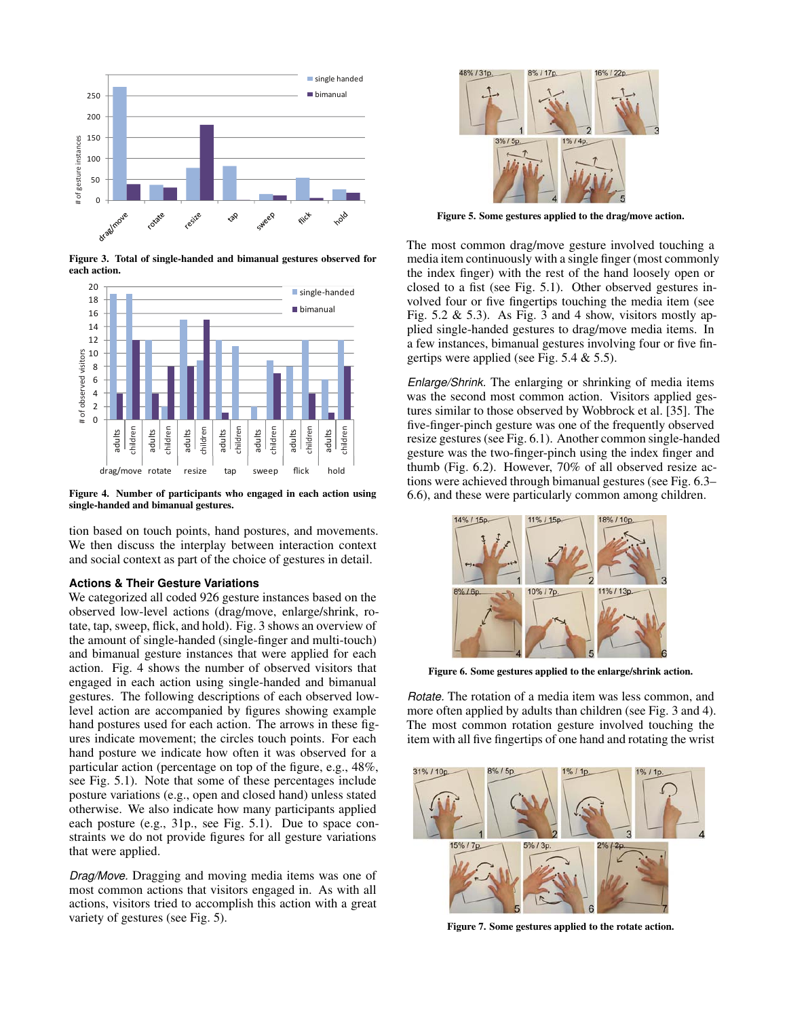

Figure 3. Total of single-handed and bimanual gestures observed for each action.



Figure 4. Number of participants who engaged in each action using single-handed and bimanual gestures.

tion based on touch points, hand postures, and movements. We then discuss the interplay between interaction context and social context as part of the choice of gestures in detail.

### **Actions & Their Gesture Variations**

We categorized all coded 926 gesture instances based on the observed low-level actions (drag/move, enlarge/shrink, rotate, tap, sweep, flick, and hold). Fig. 3 shows an overview of the amount of single-handed (single-finger and multi-touch) and bimanual gesture instances that were applied for each action. Fig. 4 shows the number of observed visitors that engaged in each action using single-handed and bimanual gestures. The following descriptions of each observed lowlevel action are accompanied by figures showing example hand postures used for each action. The arrows in these figures indicate movement; the circles touch points. For each hand posture we indicate how often it was observed for a particular action (percentage on top of the figure, e.g., 48%, see Fig. 5.1). Note that some of these percentages include posture variations (e.g., open and closed hand) unless stated otherwise. We also indicate how many participants applied each posture (e.g., 31p., see Fig. 5.1). Due to space constraints we do not provide figures for all gesture variations that were applied.

*Drag/Move.* Dragging and moving media items was one of most common actions that visitors engaged in. As with all actions, visitors tried to accomplish this action with a great variety of gestures (see Fig. 5).



Figure 5. Some gestures applied to the drag/move action.

The most common drag/move gesture involved touching a media item continuously with a single finger (most commonly the index finger) with the rest of the hand loosely open or closed to a fist (see Fig. 5.1). Other observed gestures involved four or five fingertips touching the media item (see Fig. 5.2 & 5.3). As Fig. 3 and 4 show, visitors mostly applied single-handed gestures to drag/move media items. In a few instances, bimanual gestures involving four or five fingertips were applied (see Fig. 5.4 & 5.5).

*Enlarge/Shrink.* The enlarging or shrinking of media items was the second most common action. Visitors applied gestures similar to those observed by Wobbrock et al. [\[35\]](#page-9-10). The five-finger-pinch gesture was one of the frequently observed resize gestures (see Fig. 6.1). Another common single-handed gesture was the two-finger-pinch using the index finger and thumb (Fig. 6.2). However, 70% of all observed resize actions were achieved through bimanual gestures (see Fig. 6.3– 6.6), and these were particularly common among children.



Figure 6. Some gestures applied to the enlarge/shrink action.

*Rotate.* The rotation of a media item was less common, and more often applied by adults than children (see Fig. 3 and 4). The most common rotation gesture involved touching the item with all five fingertips of one hand and rotating the wrist



Figure 7. Some gestures applied to the rotate action.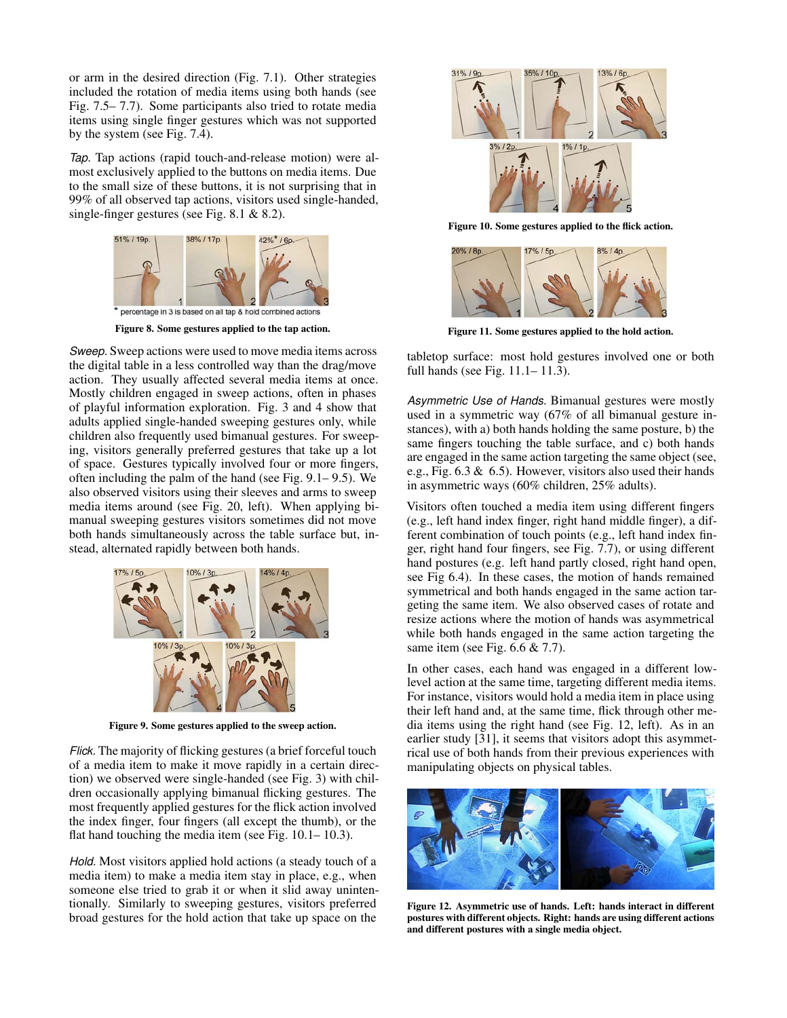or arm in the desired direction (Fig. 7.1). Other strategies included the rotation of media items using both hands (see Fig. 7.5– 7.7). Some participants also tried to rotate media items using single finger gestures which was not supported by the system (see Fig. 7.4).

*Tap.* Tap actions (rapid touch-and-release motion) were almost exclusively applied to the buttons on media items. Due to the small size of these buttons, it is not surprising that in 99% of all observed tap actions, visitors used single-handed, single-finger gestures (see Fig. 8.1 & 8.2).



Figure 8. Some gestures applied to the tap action.

*Sweep.* Sweep actions were used to move media items across the digital table in a less controlled way than the drag/move action. They usually affected several media items at once. Mostly children engaged in sweep actions, often in phases of playful information exploration. Fig. 3 and 4 show that adults applied single-handed sweeping gestures only, while children also frequently used bimanual gestures. For sweeping, visitors generally preferred gestures that take up a lot of space. Gestures typically involved four or more fingers, often including the palm of the hand (see Fig. 9.1– 9.5). We also observed visitors using their sleeves and arms to sweep media items around (see Fig. 20, left). When applying bimanual sweeping gestures visitors sometimes did not move both hands simultaneously across the table surface but, instead, alternated rapidly between both hands.



Figure 9. Some gestures applied to the sweep action.

*Flick.* The majority of flicking gestures (a brief forceful touch of a media item to make it move rapidly in a certain direction) we observed were single-handed (see Fig. 3) with children occasionally applying bimanual flicking gestures. The most frequently applied gestures for the flick action involved the index finger, four fingers (all except the thumb), or the flat hand touching the media item (see Fig. 10.1–10.3).

*Hold.* Most visitors applied hold actions (a steady touch of a media item) to make a media item stay in place, e.g., when someone else tried to grab it or when it slid away unintentionally. Similarly to sweeping gestures, visitors preferred broad gestures for the hold action that take up space on the



Figure 10. Some gestures applied to the flick action.



Figure 11. Some gestures applied to the hold action.

tabletop surface: most hold gestures involved one or both full hands (see Fig. 11.1– 11.3).

*Asymmetric Use of Hands.* Bimanual gestures were mostly used in a symmetric way (67% of all bimanual gesture instances), with a) both hands holding the same posture, b) the same fingers touching the table surface, and c) both hands are engaged in the same action targeting the same object (see, e.g., Fig.  $6.3 \& 6.5$ ). However, visitors also used their hands in asymmetric ways (60% children, 25% adults).

Visitors often touched a media item using different fingers (e.g., left hand index finger, right hand middle finger), a different combination of touch points (e.g., left hand index finger, right hand four fingers, see Fig. 7.7), or using different hand postures (e.g. left hand partly closed, right hand open, see Fig 6.4). In these cases, the motion of hands remained symmetrical and both hands engaged in the same action targeting the same item. We also observed cases of rotate and resize actions where the motion of hands was asymmetrical while both hands engaged in the same action targeting the same item (see Fig. 6.6 & 7.7).

In other cases, each hand was engaged in a different lowlevel action at the same time, targeting different media items. For instance, visitors would hold a media item in place using their left hand and, at the same time, flick through other media items using the right hand (see Fig. 12, left). As in an earlier study [\[31\]](#page-9-9), it seems that visitors adopt this asymmetrical use of both hands from their previous experiences with manipulating objects on physical tables.



Figure 12. Asymmetric use of hands. Left: hands interact in different postures with different objects. Right: hands are using different actions and different postures with a single media object.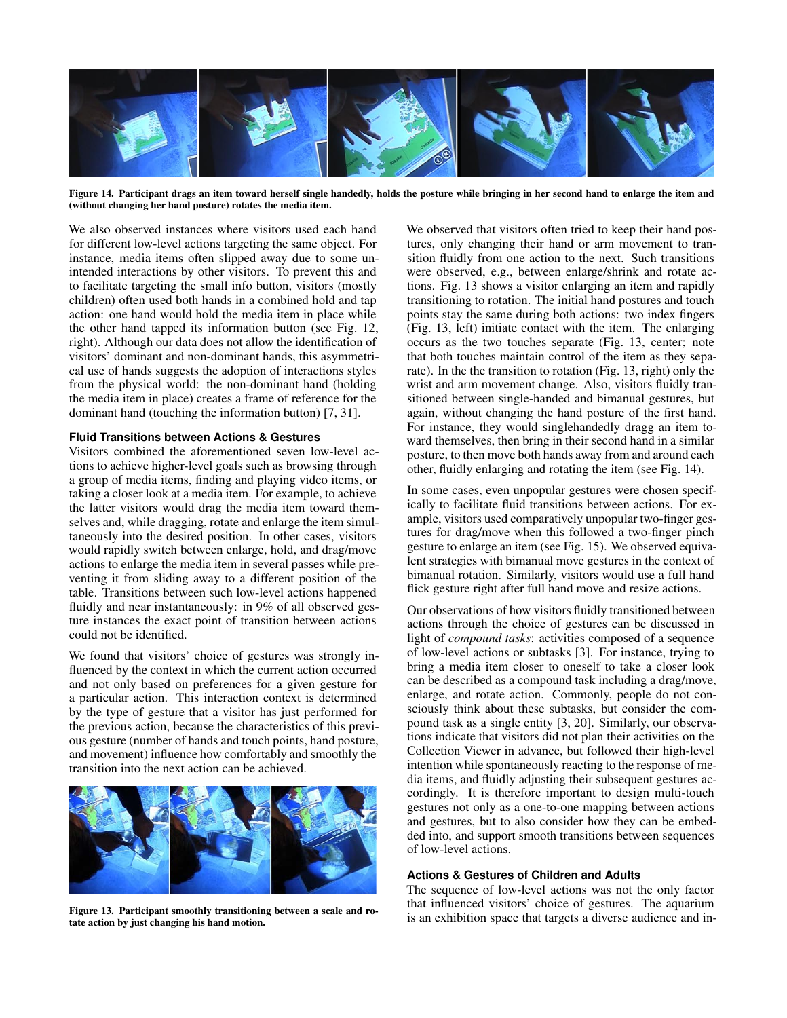

Figure 14. Participant drags an item toward herself single handedly, holds the posture while bringing in her second hand to enlarge the item and (without changing her hand posture) rotates the media item.

We also observed instances where visitors used each hand for different low-level actions targeting the same object. For instance, media items often slipped away due to some unintended interactions by other visitors. To prevent this and to facilitate targeting the small info button, visitors (mostly children) often used both hands in a combined hold and tap action: one hand would hold the media item in place while the other hand tapped its information button (see Fig. 12, right). Although our data does not allow the identification of visitors' dominant and non-dominant hands, this asymmetrical use of hands suggests the adoption of interactions styles from the physical world: the non-dominant hand (holding the media item in place) creates a frame of reference for the dominant hand (touching the information button) [\[7,](#page-9-23) [31\]](#page-9-9).

## **Fluid Transitions between Actions & Gestures**

Visitors combined the aforementioned seven low-level actions to achieve higher-level goals such as browsing through a group of media items, finding and playing video items, or taking a closer look at a media item. For example, to achieve the latter visitors would drag the media item toward themselves and, while dragging, rotate and enlarge the item simultaneously into the desired position. In other cases, visitors would rapidly switch between enlarge, hold, and drag/move actions to enlarge the media item in several passes while preventing it from sliding away to a different position of the table. Transitions between such low-level actions happened fluidly and near instantaneously: in 9% of all observed gesture instances the exact point of transition between actions could not be identified.

We found that visitors' choice of gestures was strongly influenced by the context in which the current action occurred and not only based on preferences for a given gesture for a particular action. This interaction context is determined by the type of gesture that a visitor has just performed for the previous action, because the characteristics of this previous gesture (number of hands and touch points, hand posture, and movement) influence how comfortably and smoothly the transition into the next action can be achieved.



Figure 13. Participant smoothly transitioning between a scale and rotate action by just changing his hand motion.

We observed that visitors often tried to keep their hand postures, only changing their hand or arm movement to transition fluidly from one action to the next. Such transitions were observed, e.g., between enlarge/shrink and rotate actions. Fig. 13 shows a visitor enlarging an item and rapidly transitioning to rotation. The initial hand postures and touch points stay the same during both actions: two index fingers (Fig. 13, left) initiate contact with the item. The enlarging occurs as the two touches separate (Fig. 13, center; note that both touches maintain control of the item as they separate). In the the transition to rotation (Fig. 13, right) only the wrist and arm movement change. Also, visitors fluidly transitioned between single-handed and bimanual gestures, but again, without changing the hand posture of the first hand. For instance, they would singlehandedly dragg an item toward themselves, then bring in their second hand in a similar posture, to then move both hands away from and around each other, fluidly enlarging and rotating the item (see Fig. 14).

In some cases, even unpopular gestures were chosen specifically to facilitate fluid transitions between actions. For example, visitors used comparatively unpopular two-finger gestures for drag/move when this followed a two-finger pinch gesture to enlarge an item (see Fig. 15). We observed equivalent strategies with bimanual move gestures in the context of bimanual rotation. Similarly, visitors would use a full hand flick gesture right after full hand move and resize actions.

Our observations of how visitors fluidly transitioned between actions through the choice of gestures can be discussed in light of *compound tasks*: activities composed of a sequence of low-level actions or subtasks [\[3\]](#page-9-29). For instance, trying to bring a media item closer to oneself to take a closer look can be described as a compound task including a drag/move, enlarge, and rotate action. Commonly, people do not consciously think about these subtasks, but consider the compound task as a single entity [\[3,](#page-9-29) [20\]](#page-9-30). Similarly, our observations indicate that visitors did not plan their activities on the Collection Viewer in advance, but followed their high-level intention while spontaneously reacting to the response of media items, and fluidly adjusting their subsequent gestures accordingly. It is therefore important to design multi-touch gestures not only as a one-to-one mapping between actions and gestures, but to also consider how they can be embedded into, and support smooth transitions between sequences of low-level actions.

## **Actions & Gestures of Children and Adults**

The sequence of low-level actions was not the only factor that influenced visitors' choice of gestures. The aquarium is an exhibition space that targets a diverse audience and in-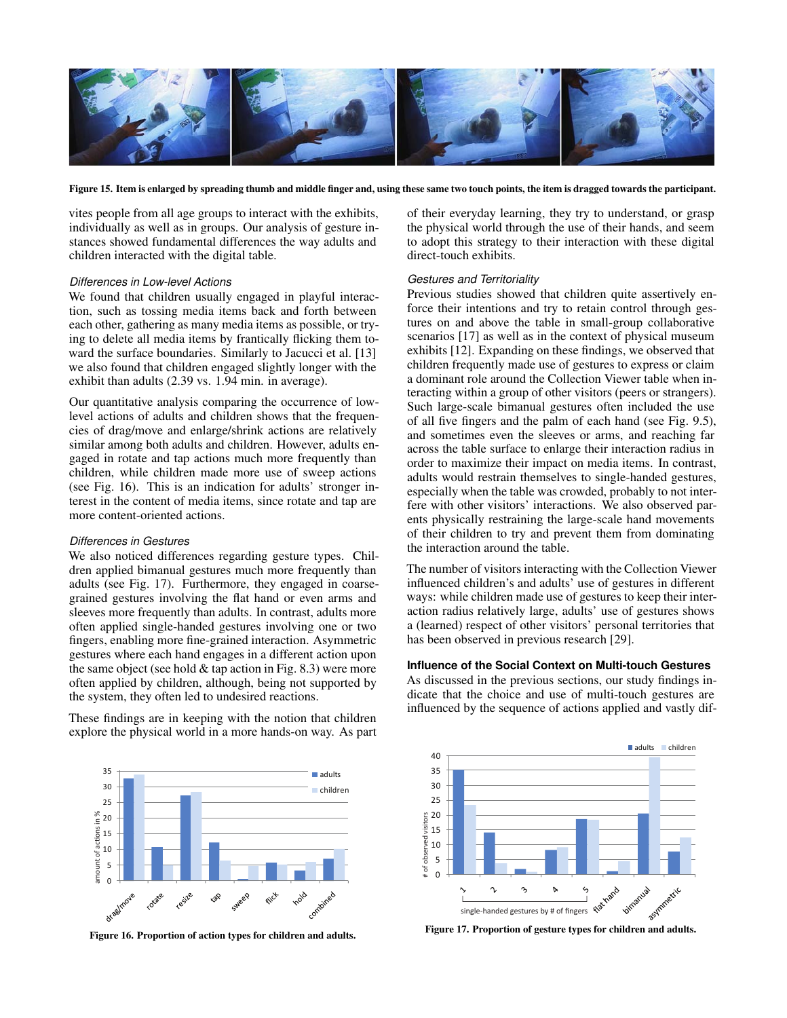

Figure 15. Item is enlarged by spreading thumb and middle finger and, using these same two touch points, the item is dragged towards the participant.

vites people from all age groups to interact with the exhibits, individually as well as in groups. Our analysis of gesture instances showed fundamental differences the way adults and children interacted with the digital table.

### *Differences in Low-level Actions*

We found that children usually engaged in playful interaction, such as tossing media items back and forth between each other, gathering as many media items as possible, or trying to delete all media items by frantically flicking them toward the surface boundaries. Similarly to Jacucci et al. [\[13\]](#page-9-6) we also found that children engaged slightly longer with the exhibit than adults (2.39 vs. 1.94 min. in average).

Our quantitative analysis comparing the occurrence of lowlevel actions of adults and children shows that the frequencies of drag/move and enlarge/shrink actions are relatively similar among both adults and children. However, adults engaged in rotate and tap actions much more frequently than children, while children made more use of sweep actions (see Fig. 16). This is an indication for adults' stronger interest in the content of media items, since rotate and tap are more content-oriented actions.

### *Differences in Gestures*

We also noticed differences regarding gesture types. Children applied bimanual gestures much more frequently than adults (see Fig. 17). Furthermore, they engaged in coarsegrained gestures involving the flat hand or even arms and sleeves more frequently than adults. In contrast, adults more often applied single-handed gestures involving one or two fingers, enabling more fine-grained interaction. Asymmetric gestures where each hand engages in a different action upon the same object (see hold  $&$  tap action in Fig. 8.3) were more often applied by children, although, being not supported by the system, they often led to undesired reactions.

These findings are in keeping with the notion that children explore the physical world in a more hands-on way. As part



Figure 16. Proportion of action types for children and adults.

of their everyday learning, they try to understand, or grasp the physical world through the use of their hands, and seem to adopt this strategy to their interaction with these digital direct-touch exhibits.

### *Gestures and Territoriality*

Previous studies showed that children quite assertively enforce their intentions and try to retain control through gestures on and above the table in small-group collaborative scenarios [\[17\]](#page-9-31) as well as in the context of physical museum exhibits [\[12\]](#page-9-32). Expanding on these findings, we observed that children frequently made use of gestures to express or claim a dominant role around the Collection Viewer table when interacting within a group of other visitors (peers or strangers). Such large-scale bimanual gestures often included the use of all five fingers and the palm of each hand (see Fig. 9.5), and sometimes even the sleeves or arms, and reaching far across the table surface to enlarge their interaction radius in order to maximize their impact on media items. In contrast, adults would restrain themselves to single-handed gestures, especially when the table was crowded, probably to not interfere with other visitors' interactions. We also observed parents physically restraining the large-scale hand movements of their children to try and prevent them from dominating the interaction around the table.

The number of visitors interacting with the Collection Viewer influenced children's and adults' use of gestures in different ways: while children made use of gestures to keep their interaction radius relatively large, adults' use of gestures shows a (learned) respect of other visitors' personal territories that has been observed in previous research [\[29\]](#page-9-33).

# **Influence of the Social Context on Multi-touch Gestures**

As discussed in the previous sections, our study findings indicate that the choice and use of multi-touch gestures are influenced by the sequence of actions applied and vastly dif-

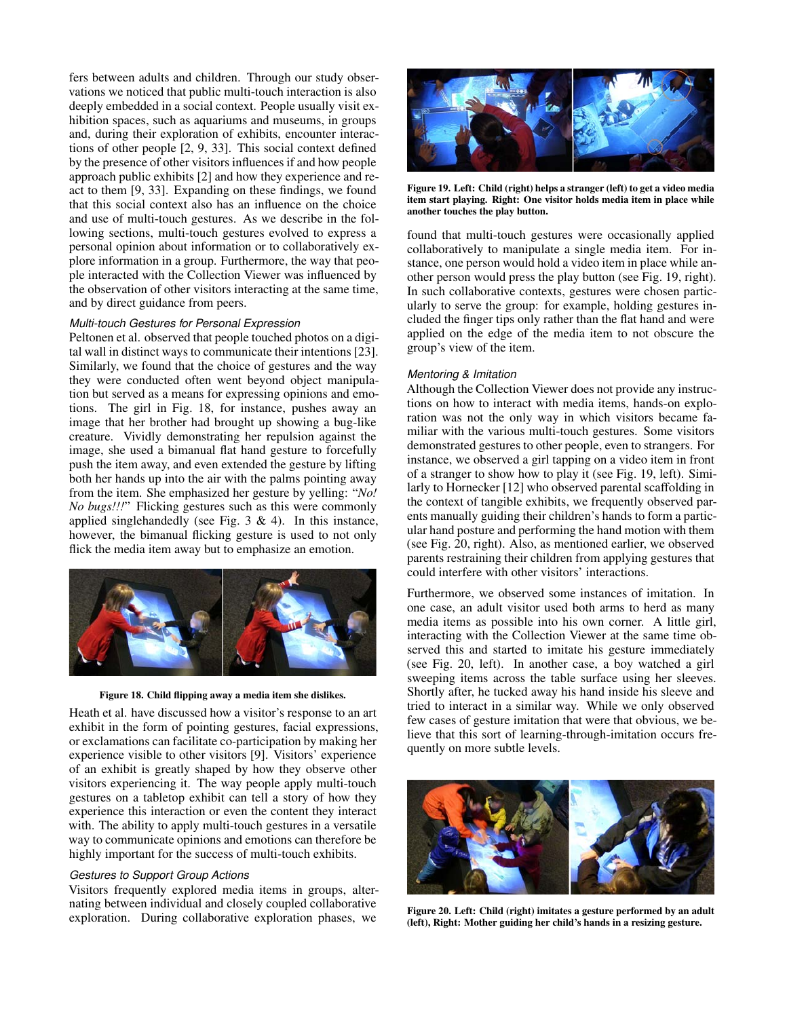fers between adults and children. Through our study observations we noticed that public multi-touch interaction is also deeply embedded in a social context. People usually visit exhibition spaces, such as aquariums and museums, in groups and, during their exploration of exhibits, encounter interactions of other people [\[2,](#page-9-34) [9,](#page-9-35) [33\]](#page-9-36). This social context defined by the presence of other visitors influences if and how people approach public exhibits [\[2\]](#page-9-34) and how they experience and react to them [\[9,](#page-9-35) [33\]](#page-9-36). Expanding on these findings, we found that this social context also has an influence on the choice and use of multi-touch gestures. As we describe in the following sections, multi-touch gestures evolved to express a personal opinion about information or to collaboratively explore information in a group. Furthermore, the way that people interacted with the Collection Viewer was influenced by the observation of other visitors interacting at the same time, and by direct guidance from peers.

### *Multi-touch Gestures for Personal Expression*

Peltonen et al. observed that people touched photos on a digital wall in distinct ways to communicate their intentions [\[23\]](#page-9-8). Similarly, we found that the choice of gestures and the way they were conducted often went beyond object manipulation but served as a means for expressing opinions and emotions. The girl in Fig. 18, for instance, pushes away an image that her brother had brought up showing a bug-like creature. Vividly demonstrating her repulsion against the image, she used a bimanual flat hand gesture to forcefully push the item away, and even extended the gesture by lifting both her hands up into the air with the palms pointing away from the item. She emphasized her gesture by yelling: "*No! No bugs!!!*" Flicking gestures such as this were commonly applied singlehandedly (see Fig. 3 & 4). In this instance, however, the bimanual flicking gesture is used to not only flick the media item away but to emphasize an emotion.





Heath et al. have discussed how a visitor's response to an art exhibit in the form of pointing gestures, facial expressions, or exclamations can facilitate co-participation by making her experience visible to other visitors [\[9\]](#page-9-35). Visitors' experience of an exhibit is greatly shaped by how they observe other visitors experiencing it. The way people apply multi-touch gestures on a tabletop exhibit can tell a story of how they experience this interaction or even the content they interact with. The ability to apply multi-touch gestures in a versatile way to communicate opinions and emotions can therefore be highly important for the success of multi-touch exhibits.

#### *Gestures to Support Group Actions*

Visitors frequently explored media items in groups, alternating between individual and closely coupled collaborative exploration. During collaborative exploration phases, we



Figure 19. Left: Child (right) helps a stranger (left) to get a video media item start playing. Right: One visitor holds media item in place while another touches the play button.

found that multi-touch gestures were occasionally applied collaboratively to manipulate a single media item. For instance, one person would hold a video item in place while another person would press the play button (see Fig. 19, right). In such collaborative contexts, gestures were chosen particularly to serve the group: for example, holding gestures included the finger tips only rather than the flat hand and were applied on the edge of the media item to not obscure the group's view of the item.

#### *Mentoring & Imitation*

Although the Collection Viewer does not provide any instructions on how to interact with media items, hands-on exploration was not the only way in which visitors became familiar with the various multi-touch gestures. Some visitors demonstrated gestures to other people, even to strangers. For instance, we observed a girl tapping on a video item in front of a stranger to show how to play it (see Fig. 19, left). Similarly to Hornecker [\[12\]](#page-9-32) who observed parental scaffolding in the context of tangible exhibits, we frequently observed parents manually guiding their children's hands to form a particular hand posture and performing the hand motion with them (see Fig. 20, right). Also, as mentioned earlier, we observed parents restraining their children from applying gestures that could interfere with other visitors' interactions.

Furthermore, we observed some instances of imitation. In one case, an adult visitor used both arms to herd as many media items as possible into his own corner. A little girl, interacting with the Collection Viewer at the same time observed this and started to imitate his gesture immediately (see Fig. 20, left). In another case, a boy watched a girl sweeping items across the table surface using her sleeves. Shortly after, he tucked away his hand inside his sleeve and tried to interact in a similar way. While we only observed few cases of gesture imitation that were that obvious, we believe that this sort of learning-through-imitation occurs frequently on more subtle levels.



Figure 20. Left: Child (right) imitates a gesture performed by an adult (left), Right: Mother guiding her child's hands in a resizing gesture.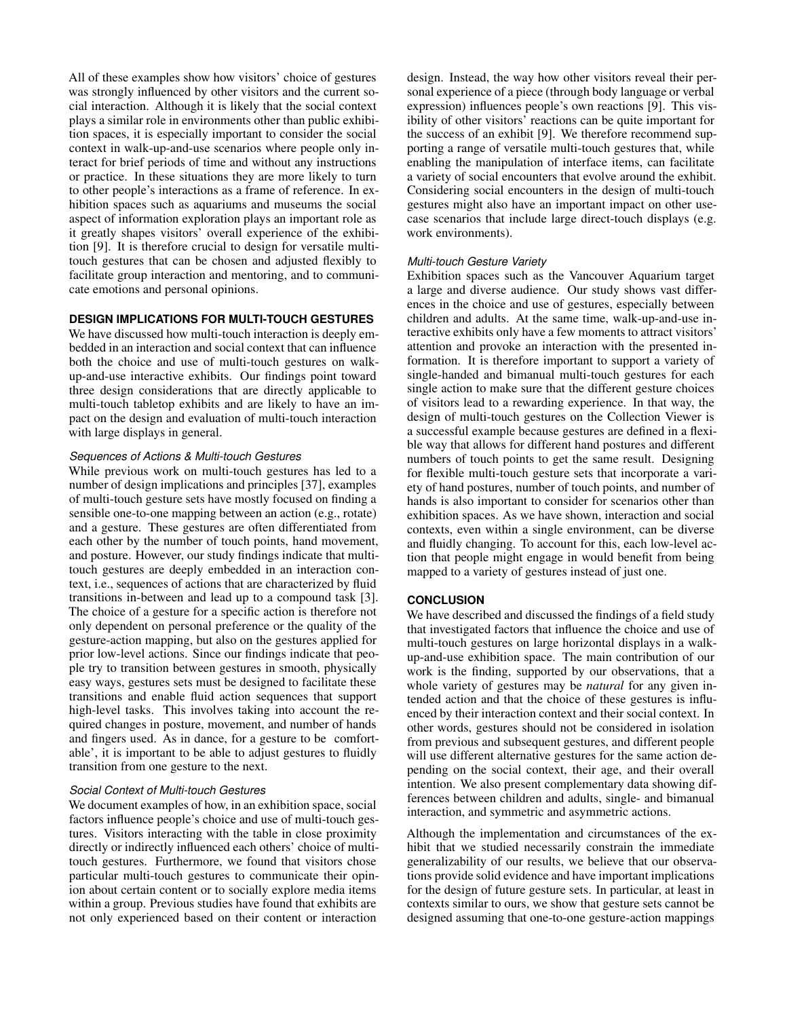All of these examples show how visitors' choice of gestures was strongly influenced by other visitors and the current social interaction. Although it is likely that the social context plays a similar role in environments other than public exhibition spaces, it is especially important to consider the social context in walk-up-and-use scenarios where people only interact for brief periods of time and without any instructions or practice. In these situations they are more likely to turn to other people's interactions as a frame of reference. In exhibition spaces such as aquariums and museums the social aspect of information exploration plays an important role as it greatly shapes visitors' overall experience of the exhibition [\[9\]](#page-9-35). It is therefore crucial to design for versatile multitouch gestures that can be chosen and adjusted flexibly to facilitate group interaction and mentoring, and to communicate emotions and personal opinions.

# **DESIGN IMPLICATIONS FOR MULTI-TOUCH GESTURES**

We have discussed how multi-touch interaction is deeply embedded in an interaction and social context that can influence both the choice and use of multi-touch gestures on walkup-and-use interactive exhibits. Our findings point toward three design considerations that are directly applicable to multi-touch tabletop exhibits and are likely to have an impact on the design and evaluation of multi-touch interaction with large displays in general.

### *Sequences of Actions & Multi-touch Gestures*

While previous work on multi-touch gestures has led to a number of design implications and principles [\[37\]](#page-9-11), examples of multi-touch gesture sets have mostly focused on finding a sensible one-to-one mapping between an action (e.g., rotate) and a gesture. These gestures are often differentiated from each other by the number of touch points, hand movement, and posture. However, our study findings indicate that multitouch gestures are deeply embedded in an interaction context, i.e., sequences of actions that are characterized by fluid transitions in-between and lead up to a compound task [\[3\]](#page-9-29). The choice of a gesture for a specific action is therefore not only dependent on personal preference or the quality of the gesture-action mapping, but also on the gestures applied for prior low-level actions. Since our findings indicate that people try to transition between gestures in smooth, physically easy ways, gestures sets must be designed to facilitate these transitions and enable fluid action sequences that support high-level tasks. This involves taking into account the required changes in posture, movement, and number of hands and fingers used. As in dance, for a gesture to be comfortable', it is important to be able to adjust gestures to fluidly transition from one gesture to the next.

## *Social Context of Multi-touch Gestures*

We document examples of how, in an exhibition space, social factors influence people's choice and use of multi-touch gestures. Visitors interacting with the table in close proximity directly or indirectly influenced each others' choice of multitouch gestures. Furthermore, we found that visitors chose particular multi-touch gestures to communicate their opinion about certain content or to socially explore media items within a group. Previous studies have found that exhibits are not only experienced based on their content or interaction

design. Instead, the way how other visitors reveal their personal experience of a piece (through body language or verbal expression) influences people's own reactions [\[9\]](#page-9-35). This visibility of other visitors' reactions can be quite important for the success of an exhibit [\[9\]](#page-9-35). We therefore recommend supporting a range of versatile multi-touch gestures that, while enabling the manipulation of interface items, can facilitate a variety of social encounters that evolve around the exhibit. Considering social encounters in the design of multi-touch gestures might also have an important impact on other usecase scenarios that include large direct-touch displays (e.g. work environments).

# *Multi-touch Gesture Variety*

Exhibition spaces such as the Vancouver Aquarium target a large and diverse audience. Our study shows vast differences in the choice and use of gestures, especially between children and adults. At the same time, walk-up-and-use interactive exhibits only have a few moments to attract visitors' attention and provoke an interaction with the presented information. It is therefore important to support a variety of single-handed and bimanual multi-touch gestures for each single action to make sure that the different gesture choices of visitors lead to a rewarding experience. In that way, the design of multi-touch gestures on the Collection Viewer is a successful example because gestures are defined in a flexible way that allows for different hand postures and different numbers of touch points to get the same result. Designing for flexible multi-touch gesture sets that incorporate a variety of hand postures, number of touch points, and number of hands is also important to consider for scenarios other than exhibition spaces. As we have shown, interaction and social contexts, even within a single environment, can be diverse and fluidly changing. To account for this, each low-level action that people might engage in would benefit from being mapped to a variety of gestures instead of just one.

#### **CONCLUSION**

We have described and discussed the findings of a field study that investigated factors that influence the choice and use of multi-touch gestures on large horizontal displays in a walkup-and-use exhibition space. The main contribution of our work is the finding, supported by our observations, that a whole variety of gestures may be *natural* for any given intended action and that the choice of these gestures is influenced by their interaction context and their social context. In other words, gestures should not be considered in isolation from previous and subsequent gestures, and different people will use different alternative gestures for the same action depending on the social context, their age, and their overall intention. We also present complementary data showing differences between children and adults, single- and bimanual interaction, and symmetric and asymmetric actions.

Although the implementation and circumstances of the exhibit that we studied necessarily constrain the immediate generalizability of our results, we believe that our observations provide solid evidence and have important implications for the design of future gesture sets. In particular, at least in contexts similar to ours, we show that gesture sets cannot be designed assuming that one-to-one gesture-action mappings